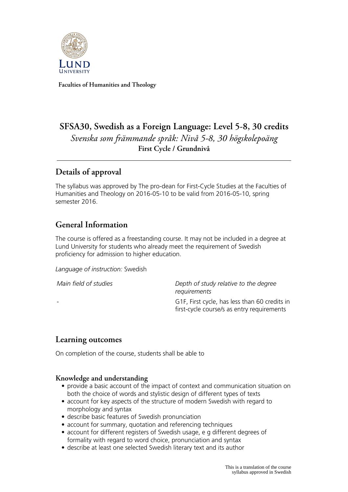

**Faculties of Humanities and Theology**

# **SFSA30, Swedish as a Foreign Language: Level 5-8, 30 credits** *Svenska som främmande språk: Nivå 5-8, 30 högskolepoäng* **First Cycle / Grundnivå**

## **Details of approval**

The syllabus was approved by The pro-dean for First-Cycle Studies at the Faculties of Humanities and Theology on 2016-05-10 to be valid from 2016-05-10, spring semester 2016.

## **General Information**

The course is offered as a freestanding course. It may not be included in a degree at Lund University for students who already meet the requirement of Swedish proficiency for admission to higher education.

*Language of instruction:* Swedish

*Main field of studies Depth of study relative to the degree requirements* - G1F, First cycle, has less than 60 credits in first-cycle course/s as entry requirements

## **Learning outcomes**

On completion of the course, students shall be able to

#### **Knowledge and understanding**

- provide a basic account of the impact of context and communication situation on both the choice of words and stylistic design of different types of texts
- account for key aspects of the structure of modern Swedish with regard to morphology and syntax
- describe basic features of Swedish pronunciation
- account for summary, quotation and referencing techniques
- account for different registers of Swedish usage, e g different degrees of formality with regard to word choice, pronunciation and syntax
- describe at least one selected Swedish literary text and its author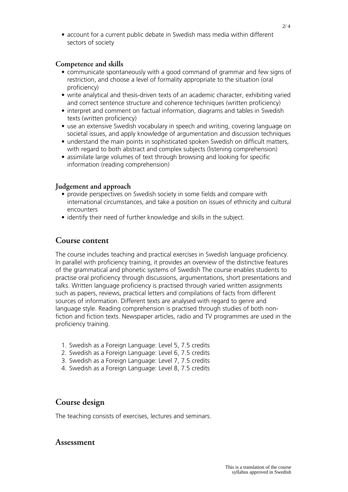#### **Competence and skills**

- communicate spontaneously with a good command of grammar and few signs of restriction, and choose a level of formality appropriate to the situation (oral proficiency)
- write analytical and thesis-driven texts of an academic character, exhibiting varied and correct sentence structure and coherence techniques (written proficiency)
- interpret and comment on factual information, diagrams and tables in Swedish texts (written proficiency)
- use an extensive Swedish vocabulary in speech and writing, covering language on societal issues, and apply knowledge of argumentation and discussion techniques
- understand the main points in sophisticated spoken Swedish on difficult matters, with regard to both abstract and complex subjects (listening comprehension)
- assimilate large volumes of text through browsing and looking for specific information (reading comprehension)

#### **Judgement and approach**

- provide perspectives on Swedish society in some fields and compare with international circumstances, and take a position on issues of ethnicity and cultural encounters
- identify their need of further knowledge and skills in the subject.

### **Course content**

The course includes teaching and practical exercises in Swedish language proficiency. In parallel with proficiency training, it provides an overview of the distinctive features of the grammatical and phonetic systems of Swedish The course enables students to practise oral proficiency through discussions, argumentations, short presentations and talks. Written language proficiency is practised through varied written assignments such as papers, reviews, practical letters and compilations of facts from different sources of information. Different texts are analysed with regard to genre and language style. Reading comprehension is practised through studies of both nonfiction and fiction texts. Newspaper articles, radio and TV programmes are used in the proficiency training.

- 1. Swedish as a Foreign Language: Level 5, 7.5 credits
- 2. Swedish as a Foreign Language: Level 6, 7.5 credits
- 3. Swedish as a Foreign Language: Level 7, 7.5 credits
- 4. Swedish as a Foreign Language: Level 8, 7.5 credits

## **Course design**

The teaching consists of exercises, lectures and seminars.

#### **Assessment**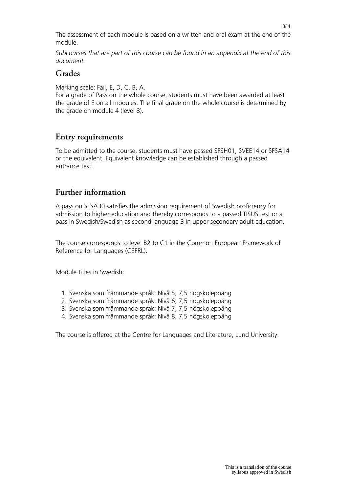The assessment of each module is based on a written and oral exam at the end of the module.

*Subcourses that are part of this course can be found in an appendix at the end of this document.*

#### **Grades**

Marking scale: Fail, E, D, C, B, A.

For a grade of Pass on the whole course, students must have been awarded at least the grade of E on all modules. The final grade on the whole course is determined by the grade on module 4 (level 8).

## **Entry requirements**

To be admitted to the course, students must have passed SFSH01, SVEE14 or SFSA14 or the equivalent. Equivalent knowledge can be established through a passed entrance test.

## **Further information**

A pass on SFSA30 satisfies the admission requirement of Swedish proficiency for admission to higher education and thereby corresponds to a passed TISUS test or a pass in Swedish/Swedish as second language 3 in upper secondary adult education.

The course corresponds to level B2 to C1 in the Common European Framework of Reference for Languages (CEFRL).

Module titles in Swedish:

- 1. Svenska som främmande språk: Nivå 5, 7,5 högskolepoäng
- 2. Svenska som främmande språk: Nivå 6, 7,5 högskolepoäng
- 3. Svenska som främmande språk: Nivå 7, 7,5 högskolepoäng
- 4. Svenska som främmande språk: Nivå 8, 7,5 högskolepoäng

The course is offered at the Centre for Languages and Literature, Lund University.